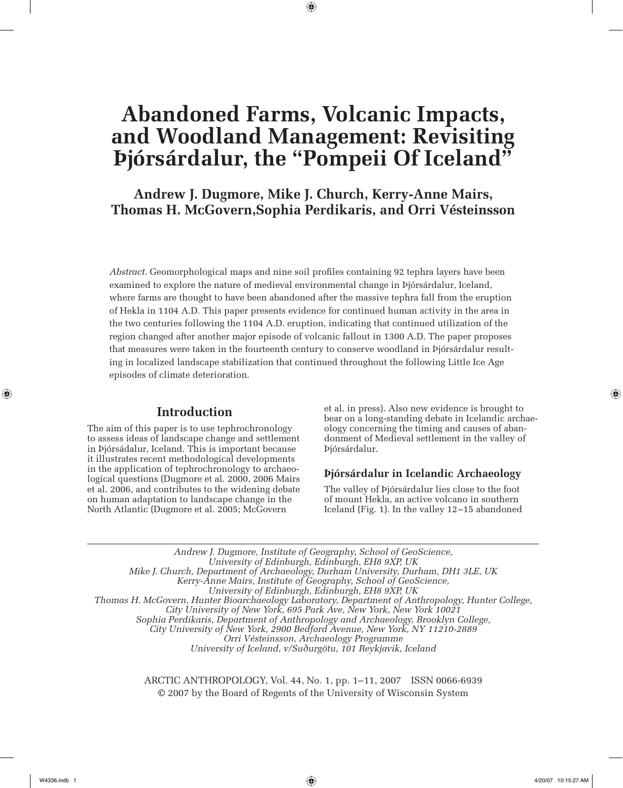# **Abandoned Farms, Volcanic Impacts, and Woodland Management: Revisiting Þjórsárdalur, the "Pompeii Of Iceland"**

 $\textcolor{black}{\textcircled{\ell}}$ 

**Andrew J. Dugmore, Mike J. Church, Kerry-Anne Mairs, Thomas H. McGovern,Sophia Perdikaris, and Orri Vésteinsson**

*Abstract.* Geomorphological maps and nine soil profiles containing 92 tephra layers have been examined to explore the nature of medieval environmental change in Þjórsárdalur, Iceland, where farms are thought to have been abandoned after the massive tephra fall from the eruption of Hekla in 1104 A.D. This paper presents evidence for continued human activity in the area in the two centuries following the 1104 A.D. eruption, indicating that continued utilization of the region changed after another major episode of volcanic fallout in 1300 A.D. The paper proposes that measures were taken in the fourteenth century to conserve woodland in Þjórsárdalur resulting in localized landscape stabilization that continued throughout the following Little Ice Age episodes of climate deterioration.

## **Introduction**

The aim of this paper is to use tephrochronology to assess ideas of landscape change and settlement in Þjórsádalur, Iceland. This is important because it illustrates recent methodological developments in the application of tephrochronology to archaeological questions (Dugmore et al. 2000, 2006 Mairs et al. 2006, and contributes to the widening debate on human adaptation to landscape change in the North Atlantic (Dugmore et al. 2005; McGovern

et al. in press). Also new evidence is brought to bear on a long-standing debate in Icelandic archaeology concerning the timing and causes of abandonment of Medieval settlement in the valley of Þjórsárdalur.

#### **Þjórsárdalur in Icelandic Archaeology**

The valley of Þjórsárdalur lies close to the foot of mount Hekla, an active volcano in southern Iceland (Fig. 1). In the valley 12–15 abandoned

*Andrew J. Dugmore, Institute of Geography, School of GeoScience, University of Edinburgh, Edinburgh, EH8 9XP, UK Mike J. Church, Department of Archaeology, Durham University, Durham, DH1 3LE, UK Kerry-Anne Mairs, Institute of Geography, School of GeoScience, University of Edinburgh, Edinburgh, EH8 9XP, UK Thomas H. McGovern, Hunter Bioarchaeology Laboratory, Department of Anthropology, Hunter College, City University of New York, 695 Park Ave, New York, New York 10021 Sophia Perdikaris, Department of Anthropology and Archaeology, Brooklyn College, City University of New York, 2900 Bedford Avenue, New York, NY 11210-2889 Orri Vésteinsson, Archaeology Programme University of Iceland, v/Suðurgötu, 101 Reykjavik, Iceland*

> ARCTIC ANTHROPOLOGY, Vol. 44, No. 1, pp. 1–11, 2007 ISSN 0066-6939 © 2007 by the Board of Regents of the University of Wisconsin System

⊕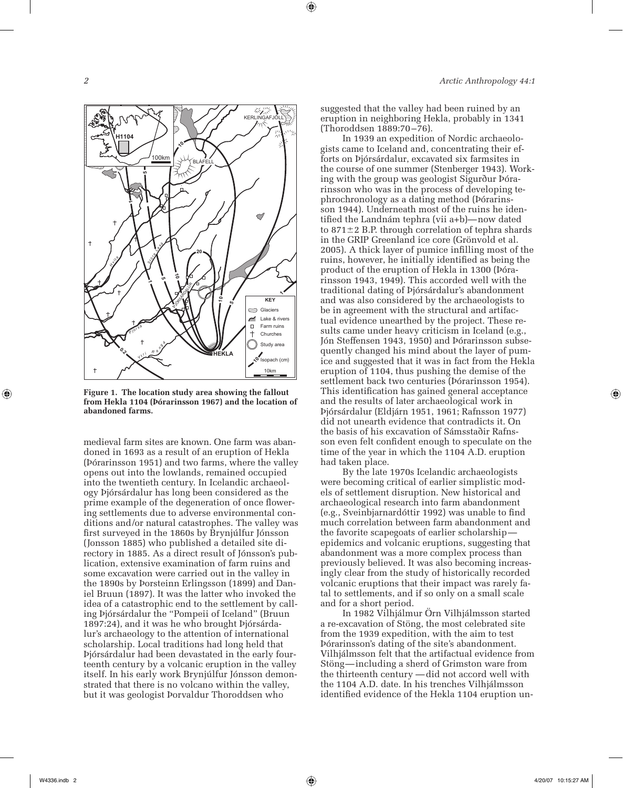⊕



**Figure 1. The location study area showing the fallout from Hekla 1104 (Þórarinsson 1967) and the location of abandoned farms.**

medieval farm sites are known. One farm was abandoned in 1693 as a result of an eruption of Hekla (Þórarinsson 1951) and two farms, where the valley opens out into the lowlands, remained occupied into the twentieth century. In Icelandic archaeology Þjórsárdalur has long been considered as the prime example of the degeneration of once flowering settlements due to adverse environmental conditions and/or natural catastrophes. The valley was first surveyed in the 1860s by Brynjúlfur Jónsson (Jonsson 1885) who published a detailed site directory in 1885. As a direct result of Jónsson's publication, extensive examination of farm ruins and some excavation were carried out in the valley in the 1890s by Þorsteinn Erlingsson (1899) and Daniel Bruun (1897). It was the latter who invoked the idea of a catastrophic end to the settlement by calling Þjórsárdalur the "Pompeii of Iceland" (Bruun 1897:24), and it was he who brought Þjórsárdalur's archaeology to the attention of international scholarship. Local traditions had long held that Þjórsárdalur had been devastated in the early fourteenth century by a volcanic eruption in the valley itself. In his early work Brynjúlfur Jónsson demonstrated that there is no volcano within the valley, but it was geologist Þorvaldur Thoroddsen who

*2 Arctic Anthropology 44:1*

suggested that the valley had been ruined by an eruption in neighboring Hekla, probably in 1341 (Thoroddsen 1889:70–76).

In 1939 an expedition of Nordic archaeologists came to Iceland and, concentrating their efforts on Þjórsárdalur, excavated six farmsites in the course of one summer (Stenberger 1943). Working with the group was geologist Sigurður Þórarinsson who was in the process of developing tephrochronology as a dating method (Þórarinsson 1944). Underneath most of the ruins he identified the Landnám tephra (vii a+b)—now dated to  $871 \pm 2$  B.P. through correlation of tephra shards in the GRIP Greenland ice core (Grönvold et al. 2005). A thick layer of pumice infilling most of the ruins, however, he initially identified as being the product of the eruption of Hekla in 1300 (Þórarinsson 1943, 1949). This accorded well with the traditional dating of Þjórsárdalur's abandonment and was also considered by the archaeologists to be in agreement with the structural and artifactual evidence unearthed by the project. These results came under heavy criticism in Iceland (e.g., Jón Steffensen 1943, 1950) and Þórarinsson subsequently changed his mind about the layer of pumice and suggested that it was in fact from the Hekla eruption of 1104, thus pushing the demise of the settlement back two centuries (Þórarinsson 1954). This identification has gained general acceptance and the results of later archaeological work in Þjórsárdalur (Eldjárn 1951, 1961; Rafnsson 1977) did not unearth evidence that contradicts it. On the basis of his excavation of Sámsstaðir Rafnsson even felt confident enough to speculate on the time of the year in which the 1104 A.D. eruption had taken place.

By the late 1970s Icelandic archaeologists were becoming critical of earlier simplistic models of settlement disruption. New historical and archaeological research into farm abandonment (e.g., Sveinbjarnardóttir 1992) was unable to find much correlation between farm abandonment and the favorite scapegoats of earlier scholarship epidemics and volcanic eruptions, suggesting that abandonment was a more complex process than previously believed. It was also becoming increasingly clear from the study of historically recorded volcanic eruptions that their impact was rarely fatal to settlements, and if so only on a small scale and for a short period.

In 1982 Vilhjálmur Örn Vilhjálmsson started a re-excavation of Stöng, the most celebrated site from the 1939 expedition, with the aim to test Þórarinsson's dating of the site's abandonment. Vilhjálmsson felt that the artifactual evidence from Stöng—including a sherd of Grimston ware from the thirteenth century —did not accord well with the 1104 A.D. date. In his trenches Vilhjálmsson identified evidence of the Hekla 1104 eruption un-

⊕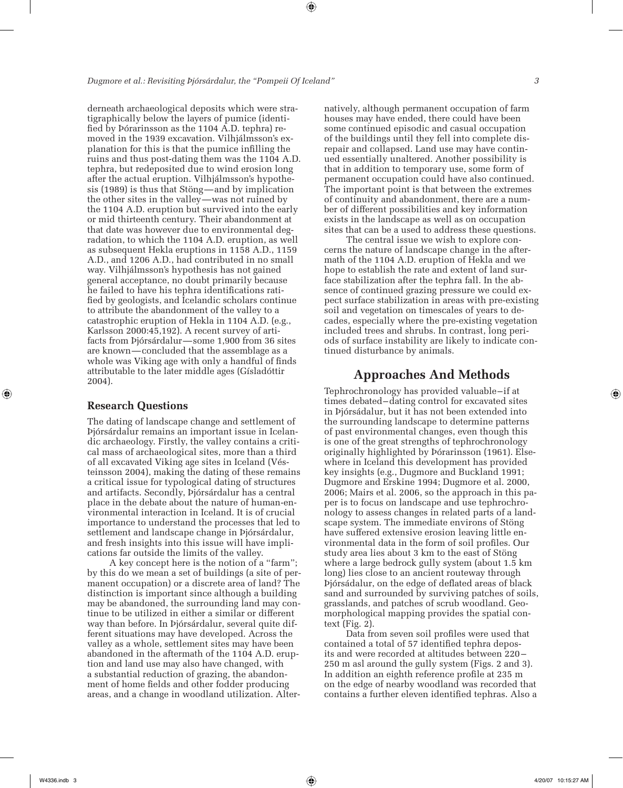⊕

derneath archaeological deposits which were stratigraphically below the layers of pumice (identified by Þórarinsson as the 1104 A.D. tephra) removed in the 1939 excavation. Vilhjálmsson's explanation for this is that the pumice infilling the ruins and thus post-dating them was the 1104 A.D. tephra, but redeposited due to wind erosion long after the actual eruption. Vilhjálmsson's hypothesis (1989) is thus that Stöng—and by implication the other sites in the valley—was not ruined by the 1104 A.D. eruption but survived into the early or mid thirteenth century. Their abandonment at that date was however due to environmental degradation, to which the 1104 A.D. eruption, as well as subsequent Hekla eruptions in 1158 A.D., 1159 A.D., and 1206 A.D., had contributed in no small way. Vilhjálmsson's hypothesis has not gained general acceptance, no doubt primarily because he failed to have his tephra identifications ratified by geologists, and Icelandic scholars continue to attribute the abandonment of the valley to a catastrophic eruption of Hekla in 1104 A.D. (e.g., Karlsson 2000:45,192). A recent survey of artifacts from Þjórsárdalur—some 1,900 from 36 sites are known—concluded that the assemblage as a whole was Viking age with only a handful of finds attributable to the later middle ages (Gísladóttir 2004).

#### **Research Questions**

The dating of landscape change and settlement of Þjórsárdalur remains an important issue in Icelandic archaeology. Firstly, the valley contains a critical mass of archaeological sites, more than a third of all excavated Viking age sites in Iceland (Vésteinsson 2004), making the dating of these remains a critical issue for typological dating of structures and artifacts. Secondly, Þjórsárdalur has a central place in the debate about the nature of human-environmental interaction in Iceland. It is of crucial importance to understand the processes that led to settlement and landscape change in Þjórsárdalur, and fresh insights into this issue will have implications far outside the limits of the valley.

A key concept here is the notion of a "farm"; by this do we mean a set of buildings (a site of permanent occupation) or a discrete area of land? The distinction is important since although a building may be abandoned, the surrounding land may continue to be utilized in either a similar or different way than before. In Þjórsárdalur, several quite different situations may have developed. Across the valley as a whole, settlement sites may have been abandoned in the aftermath of the 1104 A.D. eruption and land use may also have changed, with a substantial reduction of grazing, the abandonment of home fields and other fodder producing areas, and a change in woodland utilization. Alternatively, although permanent occupation of farm houses may have ended, there could have been some continued episodic and casual occupation of the buildings until they fell into complete disrepair and collapsed. Land use may have continued essentially unaltered. Another possibility is that in addition to temporary use, some form of permanent occupation could have also continued. The important point is that between the extremes of continuity and abandonment, there are a number of different possibilities and key information exists in the landscape as well as on occupation sites that can be a used to address these questions.

The central issue we wish to explore concerns the nature of landscape change in the aftermath of the 1104 A.D. eruption of Hekla and we hope to establish the rate and extent of land surface stabilization after the tephra fall. In the absence of continued grazing pressure we could expect surface stabilization in areas with pre-existing soil and vegetation on timescales of years to decades, especially where the pre-existing vegetation included trees and shrubs. In contrast, long periods of surface instability are likely to indicate continued disturbance by animals.

## **Approaches And Methods**

Tephrochronology has provided valuable–if at times debated–dating control for excavated sites in Þjórsádalur, but it has not been extended into the surrounding landscape to determine patterns of past environmental changes, even though this is one of the great strengths of tephrochronology originally highlighted by Þórarinsson (1961). Elsewhere in Iceland this development has provided key insights (e.g., Dugmore and Buckland 1991; Dugmore and Erskine 1994; Dugmore et al. 2000, 2006; Mairs et al. 2006, so the approach in this paper is to focus on landscape and use tephrochronology to assess changes in related parts of a landscape system. The immediate environs of Stöng have suffered extensive erosion leaving little environmental data in the form of soil profiles. Our study area lies about 3 km to the east of Stöng where a large bedrock gully system (about 1.5 km long) lies close to an ancient routeway through Þjórsádalur, on the edge of deflated areas of black sand and surrounded by surviving patches of soils, grasslands, and patches of scrub woodland. Geomorphological mapping provides the spatial context (Fig. 2).

Data from seven soil profiles were used that contained a total of 57 identified tephra deposits and were recorded at altitudes between 220– 250 m asl around the gully system (Figs. 2 and 3). In addition an eighth reference profile at 235 m on the edge of nearby woodland was recorded that contains a further eleven identified tephras. Also a

⊕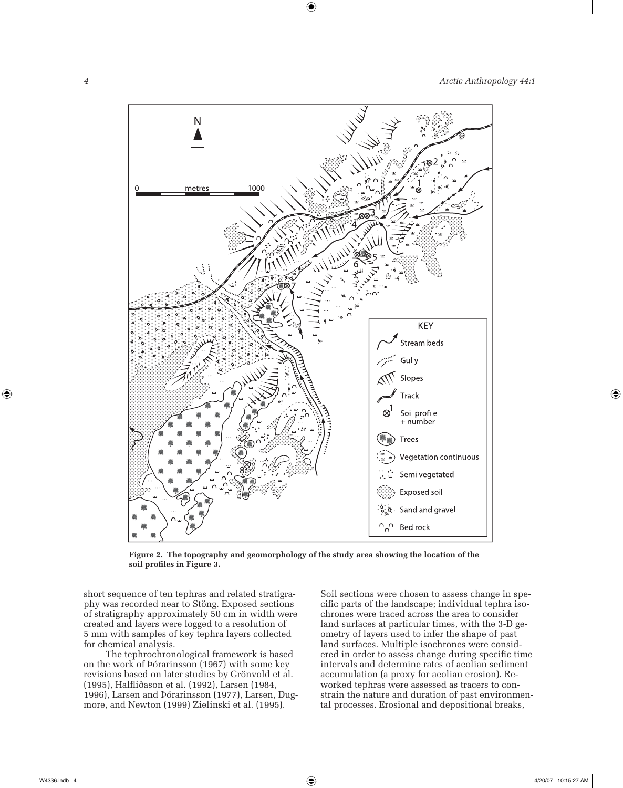

 $\bf \bigcirc$ 



short sequence of ten tephras and related stratigraphy was recorded near to Stöng. Exposed sections of stratigraphy approximately 50 cm in width were created and layers were logged to a resolution of 5 mm with samples of key tephra layers collected for chemical analysis.

The tephrochronological framework is based on the work of Þórarinsson (1967) with some key revisions based on later studies by Grönvold et al. (1995), Halfliðason et al. (1992), Larsen (1984, 1996), Larsen and Þórarinsson (1977), Larsen, Dugmore, and Newton (1999) Zielinski et al. (1995).

Soil sections were chosen to assess change in specific parts of the landscape; individual tephra isochrones were traced across the area to consider land surfaces at particular times, with the 3-D geometry of layers used to infer the shape of past land surfaces. Multiple isochrones were considered in order to assess change during specific time intervals and determine rates of aeolian sediment accumulation (a proxy for aeolian erosion). Reworked tephras were assessed as tracers to constrain the nature and duration of past environmental processes. Erosional and depositional breaks,

 $\bigoplus$ 

⊕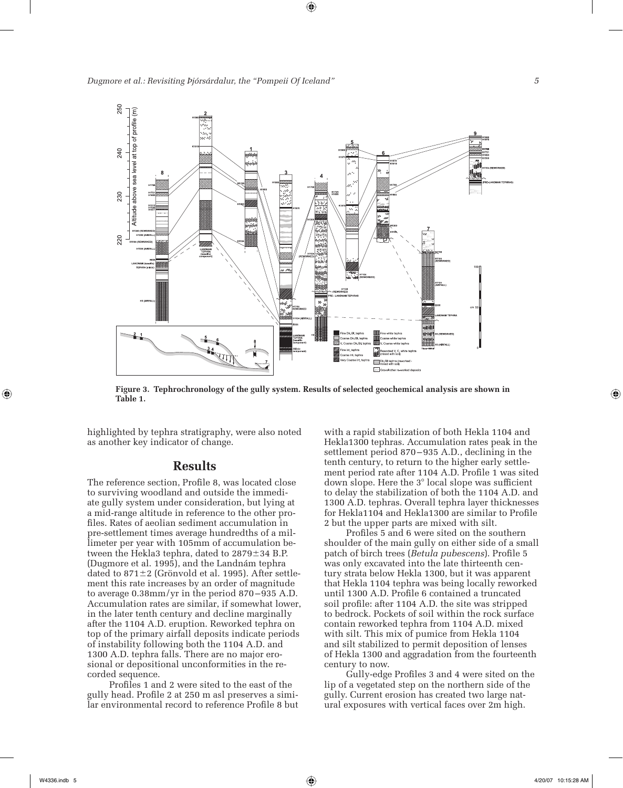



 $\bf \bigcirc$ 

**Figure 3. Tephrochronology of the gully system. Results of selected geochemical analysis are shown in Table 1.**

highlighted by tephra stratigraphy, were also noted as another key indicator of change.

### **Results**

The reference section, Profile 8, was located close to surviving woodland and outside the immediate gully system under consideration, but lying at a mid-range altitude in reference to the other profiles. Rates of aeolian sediment accumulation in pre-settlement times average hundredths of a millimeter per year with 105mm of accumulation between the Hekla3 tephra, dated to 2879 $\pm$ 34 B.P. (Dugmore et al. 1995), and the Landnám tephra dated to 871±2 (Grönvold et al. 1995). After settlement this rate increases by an order of magnitude to average 0.38mm/yr in the period 870–935 A.D. Accumulation rates are similar, if somewhat lower, in the later tenth century and decline marginally after the 1104 A.D. eruption. Reworked tephra on top of the primary airfall deposits indicate periods of instability following both the 1104 A.D. and 1300 A.D. tephra falls. There are no major erosional or depositional unconformities in the recorded sequence.

Profiles 1 and 2 were sited to the east of the gully head. Profile 2 at 250 m asl preserves a similar environmental record to reference Profile 8 but with a rapid stabilization of both Hekla 1104 and Hekla1300 tephras. Accumulation rates peak in the settlement period 870–935 A.D., declining in the tenth century, to return to the higher early settlement period rate after 1104 A.D. Profile 1 was sited down slope. Here the 3<sup>°</sup> local slope was sufficient to delay the stabilization of both the 1104 A.D. and 1300 A.D. tephras. Overall tephra layer thicknesses for Hekla1104 and Hekla1300 are similar to Profile 2 but the upper parts are mixed with silt.

Profiles 5 and 6 were sited on the southern shoulder of the main gully on either side of a small patch of birch trees (*Betula pubescens*). Profile 5 was only excavated into the late thirteenth century strata below Hekla 1300, but it was apparent that Hekla 1104 tephra was being locally reworked until 1300 A.D. Profile 6 contained a truncated soil profile: after 1104 A.D. the site was stripped to bedrock. Pockets of soil within the rock surface contain reworked tephra from 1104 A.D. mixed with silt. This mix of pumice from Hekla 1104 and silt stabilized to permit deposition of lenses of Hekla 1300 and aggradation from the fourteenth century to now.

Gully-edge Profiles 3 and 4 were sited on the lip of a vegetated step on the northern side of the gully. Current erosion has created two large natural exposures with vertical faces over 2m high.

⊕

⊕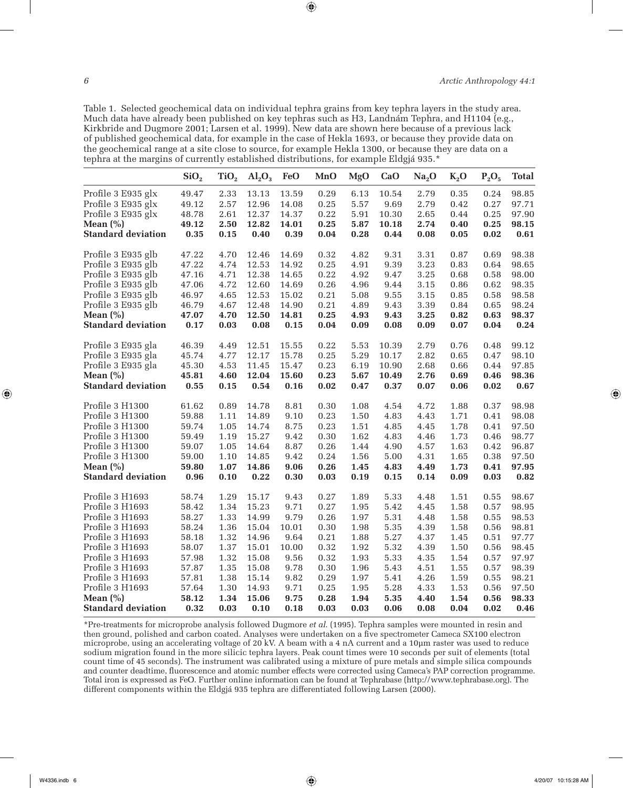Table 1. Selected geochemical data on individual tephra grains from key tephra layers in the study area. Much data have already been published on key tephras such as H3, Landnám Tephra, and H1104 (e.g., Kirkbride and Dugmore 2001; Larsen et al. 1999). New data are shown here because of a previous lack of published geochemical data, for example in the case of Hekla 1693, or because they provide data on the geochemical range at a site close to source, for example Hekla 1300, or because they are data on a tephra at the margins of currently established distributions, for example Eldgjá 935.\*

 $\bigcirc\hspace{-1.4mm}\bigcirc$ 

|                           | SiO <sub>2</sub> | TiO <sub>2</sub> | $Al_2O_3$ | <b>FeO</b> | MnO  | <b>MgO</b> | CaO   | Na <sub>2</sub> O | $K_2O$     | $P_2O_5$ | <b>Total</b> |
|---------------------------|------------------|------------------|-----------|------------|------|------------|-------|-------------------|------------|----------|--------------|
| Profile 3 E935 glx        | 49.47            | 2.33             | 13.13     | 13.59      | 0.29 | 6.13       | 10.54 | 2.79              | 0.35       | 0.24     | 98.85        |
| Profile 3 E935 glx        | 49.12            | 2.57             | 12.96     | 14.08      | 0.25 | 5.57       | 9.69  | 2.79              | 0.42       | 0.27     | 97.71        |
| Profile 3 E935 glx        | 48.78            | 2.61             | 12.37     | 14.37      | 0.22 | 5.91       | 10.30 | 2.65              | 0.44       | 0.25     | 97.90        |
| Mean $(\% )$              | 49.12            | 2.50             | 12.82     | 14.01      | 0.25 | 5.87       | 10.18 | 2.74              | 0.40       | 0.25     | 98.15        |
| <b>Standard deviation</b> | 0.35             | 0.15             | 0.40      | 0.39       | 0.04 | 0.28       | 0.44  | 0.08              | $\bf 0.05$ | 0.02     | 0.61         |
| Profile 3 E935 glb        | 47.22            | 4.70             | 12.46     | 14.69      | 0.32 | 4.82       | 9.31  | 3.31              | 0.87       | 0.69     | 98.38        |
| Profile 3 E935 glb        | 47.22            | 4.74             | 12.53     | 14.92      | 0.25 | 4.91       | 9.39  | 3.23              | 0.83       | 0.64     | 98.65        |
| Profile 3 E935 glb        | 47.16            | 4.71             | 12.38     | 14.65      | 0.22 | 4.92       | 9.47  | 3.25              | 0.68       | 0.58     | 98.00        |
| Profile 3 E935 glb        | 47.06            | 4.72             | 12.60     | 14.69      | 0.26 | 4.96       | 9.44  | 3.15              | 0.86       | 0.62     | 98.35        |
| Profile 3 E935 glb        | 46.97            | 4.65             | 12.53     | 15.02      | 0.21 | 5.08       | 9.55  | 3.15              | 0.85       | 0.58     | 98.58        |
| Profile 3 E935 glb        | 46.79            | 4.67             | 12.48     | 14.90      | 0.21 | 4.89       | 9.43  | 3.39              | 0.84       | 0.65     | 98.24        |
| Mean $(\% )$              | 47.07            | 4.70             | 12.50     | 14.81      | 0.25 | 4.93       | 9.43  | 3.25              | 0.82       | 0.63     | 98.37        |
| <b>Standard deviation</b> | 0.17             | 0.03             | 0.08      | 0.15       | 0.04 | 0.09       | 0.08  | 0.09              | 0.07       | 0.04     | 0.24         |
| Profile 3 E935 gla        | 46.39            | 4.49             | 12.51     | 15.55      | 0.22 | 5.53       | 10.39 | 2.79              | 0.76       | 0.48     | 99.12        |
| Profile 3 E935 gla        | 45.74            | 4.77             | 12.17     | 15.78      | 0.25 | 5.29       | 10.17 | 2.82              | 0.65       | 0.47     | 98.10        |
| Profile 3 E935 gla        | 45.30            | 4.53             | 11.45     | 15.47      | 0.23 | 6.19       | 10.90 | 2.68              | 0.66       | 0.44     | 97.85        |
| Mean $(\% )$              | 45.81            | 4.60             | 12.04     | 15.60      | 0.23 | 5.67       | 10.49 | 2.76              | 0.69       | 0.46     | 98.36        |
| <b>Standard deviation</b> | 0.55             | 0.15             | 0.54      | 0.16       | 0.02 | 0.47       | 0.37  | 0.07              | 0.06       | 0.02     | 0.67         |
| Profile 3 H1300           | 61.62            | 0.89             | 14.78     | 8.81       | 0.30 | 1.08       | 4.54  | 4.72              | 1.88       | 0.37     | 98.98        |
| Profile 3 H1300           | 59.88            | 1.11             | 14.89     | 9.10       | 0.23 | 1.50       | 4.83  | 4.43              | 1.71       | 0.41     | $98.08\,$    |
| Profile 3 H1300           | 59.74            | 1.05             | 14.74     | 8.75       | 0.23 | 1.51       | 4.85  | 4.45              | 1.78       | 0.41     | 97.50        |
| Profile 3 H1300           | 59.49            | 1.19             | 15.27     | 9.42       | 0.30 | 1.62       | 4.83  | 4.46              | 1.73       | 0.46     | 98.77        |
| Profile 3 H1300           | 59.07            | 1.05             | 14.64     | 8.87       | 0.26 | 1.44       | 4.90  | 4.57              | 1.63       | 0.42     | 96.87        |
| Profile 3 H1300           | 59.00            | 1.10             | 14.85     | 9.42       | 0.24 | 1.56       | 5.00  | 4.31              | 1.65       | 0.38     | 97.50        |
| Mean $(\% )$              | 59.80            | 1.07             | 14.86     | 9.06       | 0.26 | 1.45       | 4.83  | 4.49              | 1.73       | 0.41     | 97.95        |
| <b>Standard deviation</b> | 0.96             | 0.10             | 0.22      | 0.30       | 0.03 | 0.19       | 0.15  | 0.14              | 0.09       | 0.03     | 0.82         |
| Profile 3 H1693           | 58.74            | 1.29             | 15.17     | 9.43       | 0.27 | 1.89       | 5.33  | 4.48              | 1.51       | 0.55     | 98.67        |
| Profile 3 H1693           | 58.42            | 1.34             | 15.23     | 9.71       | 0.27 | 1.95       | 5.42  | 4.45              | 1.58       | 0.57     | 98.95        |
| Profile 3 H1693           | 58.27            | 1.33             | 14.99     | 9.79       | 0.26 | 1.97       | 5.31  | 4.48              | 1.58       | 0.55     | 98.53        |
| Profile 3 H1693           | 58.24            | 1.36             | 15.04     | 10.01      | 0.30 | 1.98       | 5.35  | 4.39              | 1.58       | 0.56     | 98.81        |
| Profile 3 H1693           | 58.18            | 1.32             | 14.96     | 9.64       | 0.21 | 1.88       | 5.27  | 4.37              | 1.45       | 0.51     | 97.77        |
| Profile 3 H1693           | 58.07            | 1.37             | 15.01     | 10.00      | 0.32 | 1.92       | 5.32  | 4.39              | 1.50       | 0.56     | 98.45        |
| Profile 3 H1693           | 57.98            | 1.32             | 15.08     | 9.56       | 0.32 | 1.93       | 5.33  | 4.35              | 1.54       | 0.57     | 97.97        |
| Profile 3 H1693           | 57.87            | 1.35             | 15.08     | 9.78       | 0.30 | 1.96       | 5.43  | 4.51              | 1.55       | 0.57     | 98.39        |
| Profile 3 H1693           | 57.81            | 1.38             | 15.14     | 9.82       | 0.29 | 1.97       | 5.41  | 4.26              | 1.59       | 0.55     | 98.21        |
| Profile 3 H1693           | 57.64            | 1.30             | 14.93     | 9.71       | 0.25 | 1.95       | 5.28  | 4.33              | 1.53       | 0.56     | 97.50        |
| Mean $(\% )$              | 58.12            | 1.34             | 15.06     | 9.75       | 0.28 | 1.94       | 5.35  | 4.40              | 1.54       | 0.56     | 98.33        |
| <b>Standard deviation</b> | 0.32             | 0.03             | 0.10      | 0.18       | 0.03 | 0.03       | 0.06  | 0.08              | 0.04       | 0.02     | 0.46         |

\*Pre-treatments for microprobe analysis followed Dugmore *et al*. (1995). Tephra samples were mounted in resin and then ground, polished and carbon coated. Analyses were undertaken on a five spectrometer Cameca SX100 electron microprobe, using an accelerating voltage of 20 kV. A beam with a 4 nA current and a 10µm raster was used to reduce sodium migration found in the more silicic tephra layers. Peak count times were 10 seconds per suit of elements (total count time of 45 seconds). The instrument was calibrated using a mixture of pure metals and simple silica compounds and counter deadtime, fluorescence and atomic number effects were corrected using Cameca's PAP correction programme. Total iron is expressed as FeO. Further online information can be found at Tephrabase (http://www.tephrabase.org). The different components within the Eldgjá 935 tephra are differentiated following Larsen (2000).

 $\textcircled{\scriptsize{+}}$ 

⊕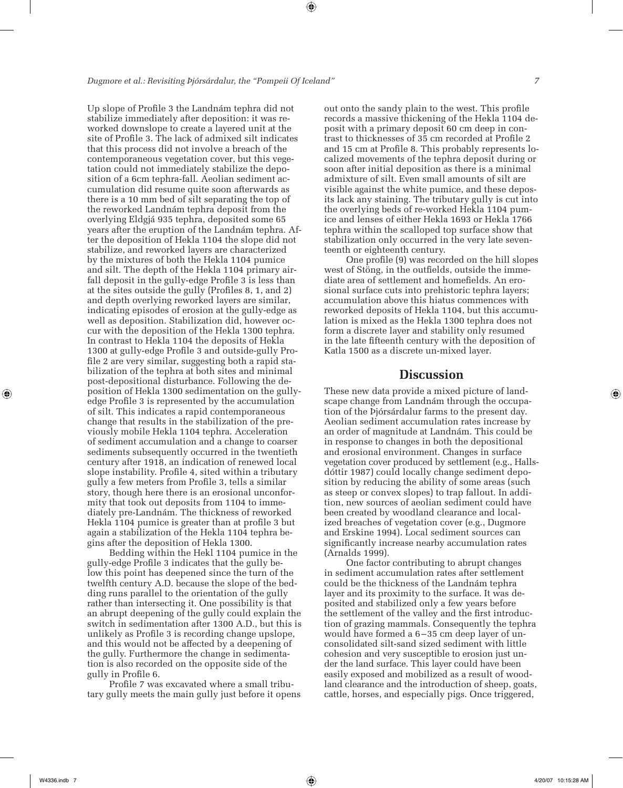⊕

Up slope of Profile 3 the Landnám tephra did not stabilize immediately after deposition: it was reworked downslope to create a layered unit at the site of Profile 3. The lack of admixed silt indicates that this process did not involve a breach of the contemporaneous vegetation cover, but this vegetation could not immediately stabilize the deposition of a 6cm tephra-fall. Aeolian sediment accumulation did resume quite soon afterwards as there is a 10 mm bed of silt separating the top of the reworked Landnám tephra deposit from the overlying Eldgjá 935 tephra, deposited some 65 years after the eruption of the Landnám tephra. After the deposition of Hekla 1104 the slope did not stabilize, and reworked layers are characterized by the mixtures of both the Hekla 1104 pumice and silt. The depth of the Hekla 1104 primary airfall deposit in the gully-edge Profile 3 is less than at the sites outside the gully (Profiles 8, 1, and 2) and depth overlying reworked layers are similar, indicating episodes of erosion at the gully-edge as well as deposition. Stabilization did, however occur with the deposition of the Hekla 1300 tephra. In contrast to Hekla 1104 the deposits of Hekla 1300 at gully-edge Profile 3 and outside-gully Profile 2 are very similar, suggesting both a rapid stabilization of the tephra at both sites and minimal post-depositional disturbance. Following the deposition of Hekla 1300 sedimentation on the gullyedge Profile 3 is represented by the accumulation of silt. This indicates a rapid contemporaneous change that results in the stabilization of the previously mobile Hekla 1104 tephra. Acceleration of sediment accumulation and a change to coarser sediments subsequently occurred in the twentieth century after 1918, an indication of renewed local slope instability. Profile 4, sited within a tributary gully a few meters from Profile 3, tells a similar story, though here there is an erosional unconformity that took out deposits from 1104 to immediately pre-Landnám. The thickness of reworked Hekla 1104 pumice is greater than at profile 3 but again a stabilization of the Hekla 1104 tephra begins after the deposition of Hekla 1300.

Bedding within the Hekl 1104 pumice in the gully-edge Profile 3 indicates that the gully below this point has deepened since the turn of the twelfth century A.D. because the slope of the bedding runs parallel to the orientation of the gully rather than intersecting it. One possibility is that an abrupt deepening of the gully could explain the switch in sedimentation after 1300 A.D., but this is unlikely as Profile 3 is recording change upslope, and this would not be affected by a deepening of the gully. Furthermore the change in sedimentation is also recorded on the opposite side of the gully in Profile 6.

Profile 7 was excavated where a small tributary gully meets the main gully just before it opens out onto the sandy plain to the west. This profile records a massive thickening of the Hekla 1104 deposit with a primary deposit 60 cm deep in contrast to thicknesses of 35 cm recorded at Profile 2 and 15 cm at Profile 8. This probably represents localized movements of the tephra deposit during or soon after initial deposition as there is a minimal admixture of silt. Even small amounts of silt are visible against the white pumice, and these deposits lack any staining. The tributary gully is cut into the overlying beds of re-worked Hekla 1104 pumice and lenses of either Hekla 1693 or Hekla 1766 tephra within the scalloped top surface show that stabilization only occurred in the very late seventeenth or eighteenth century.

One profile (9) was recorded on the hill slopes west of Stöng, in the outfields, outside the immediate area of settlement and homefields. An erosional surface cuts into prehistoric tephra layers; accumulation above this hiatus commences with reworked deposits of Hekla 1104, but this accumulation is mixed as the Hekla 1300 tephra does not form a discrete layer and stability only resumed in the late fifteenth century with the deposition of Katla 1500 as a discrete un-mixed layer.

### **Discussion**

These new data provide a mixed picture of landscape change from Landnám through the occupation of the Þjórsárdalur farms to the present day. Aeolian sediment accumulation rates increase by an order of magnitude at Landnám. This could be in response to changes in both the depositional and erosional environment. Changes in surface vegetation cover produced by settlement (e.g., Hallsdóttir 1987) could locally change sediment deposition by reducing the ability of some areas (such as steep or convex slopes) to trap fallout. In addition, new sources of aeolian sediment could have been created by woodland clearance and localized breaches of vegetation cover (e.g., Dugmore and Erskine 1994). Local sediment sources can significantly increase nearby accumulation rates (Arnalds 1999).

One factor contributing to abrupt changes in sediment accumulation rates after settlement could be the thickness of the Landnám tephra layer and its proximity to the surface. It was deposited and stabilized only a few years before the settlement of the valley and the first introduction of grazing mammals. Consequently the tephra would have formed a 6–35 cm deep layer of unconsolidated silt-sand sized sediment with little cohesion and very susceptible to erosion just under the land surface. This layer could have been easily exposed and mobilized as a result of woodland clearance and the introduction of sheep, goats, cattle, horses, and especially pigs. Once triggered,

⊕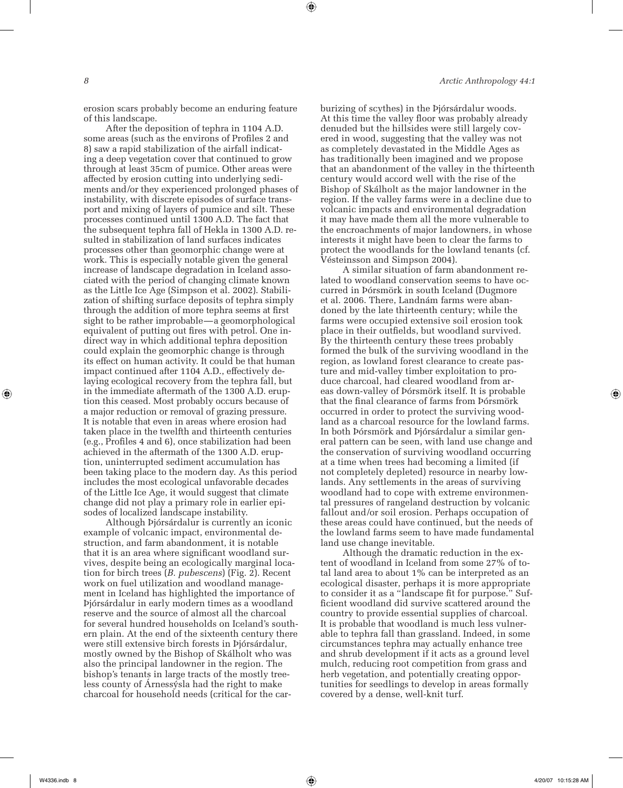erosion scars probably become an enduring feature of this landscape.

After the deposition of tephra in 1104 A.D. some areas (such as the environs of Profiles 2 and 8) saw a rapid stabilization of the airfall indicating a deep vegetation cover that continued to grow through at least 35cm of pumice. Other areas were affected by erosion cutting into underlying sediments and/or they experienced prolonged phases of instability, with discrete episodes of surface transport and mixing of layers of pumice and silt. These processes continued until 1300 A.D. The fact that the subsequent tephra fall of Hekla in 1300 A.D. resulted in stabilization of land surfaces indicates processes other than geomorphic change were at work. This is especially notable given the general increase of landscape degradation in Iceland associated with the period of changing climate known as the Little Ice Age (Simpson et al. 2002). Stabilization of shifting surface deposits of tephra simply through the addition of more tephra seems at first sight to be rather improbable—a geomorphological equivalent of putting out fires with petrol. One indirect way in which additional tephra deposition could explain the geomorphic change is through its effect on human activity. It could be that human impact continued after 1104 A.D., effectively delaying ecological recovery from the tephra fall, but in the immediate aftermath of the 1300 A.D. eruption this ceased. Most probably occurs because of a major reduction or removal of grazing pressure. It is notable that even in areas where erosion had taken place in the twelfth and thirteenth centuries (e.g., Profiles 4 and 6), once stabilization had been achieved in the aftermath of the 1300 A.D. eruption, uninterrupted sediment accumulation has been taking place to the modern day. As this period includes the most ecological unfavorable decades of the Little Ice Age, it would suggest that climate change did not play a primary role in earlier episodes of localized landscape instability.

Although Þjórsárdalur is currently an iconic example of volcanic impact, environmental destruction, and farm abandonment, it is notable that it is an area where significant woodland survives, despite being an ecologically marginal location for birch trees (*B. pubescens*) (Fig. 2). Recent work on fuel utilization and woodland management in Iceland has highlighted the importance of Þjórsárdalur in early modern times as a woodland reserve and the source of almost all the charcoal for several hundred households on Iceland's southern plain. At the end of the sixteenth century there were still extensive birch forests in Þjórsárdalur, mostly owned by the Bishop of Skálholt who was also the principal landowner in the region. The bishop's tenants in large tracts of the mostly treeless county of Arnessýsla had the right to make charcoal for household needs (critical for the carburizing of scythes) in the Þjórsárdalur woods. At this time the valley floor was probably already denuded but the hillsides were still largely covered in wood, suggesting that the valley was not as completely devastated in the Middle Ages as has traditionally been imagined and we propose that an abandonment of the valley in the thirteenth century would accord well with the rise of the Bishop of Skálholt as the major landowner in the region. If the valley farms were in a decline due to volcanic impacts and environmental degradation it may have made them all the more vulnerable to the encroachments of major landowners, in whose interests it might have been to clear the farms to protect the woodlands for the lowland tenants (cf. Vésteinsson and Simpson 2004).

A similar situation of farm abandonment related to woodland conservation seems to have occurred in Þórsmörk in south Iceland (Dugmore et al. 2006. There, Landnám farms were abandoned by the late thirteenth century; while the farms were occupied extensive soil erosion took place in their outfields, but woodland survived. By the thirteenth century these trees probably formed the bulk of the surviving woodland in the region, as lowland forest clearance to create pasture and mid-valley timber exploitation to produce charcoal, had cleared woodland from areas down-valley of Þórsmörk itself. It is probable that the final clearance of farms from Þórsmörk occurred in order to protect the surviving woodland as a charcoal resource for the lowland farms. In both Þórsmörk and Þjórsárdalur a similar general pattern can be seen, with land use change and the conservation of surviving woodland occurring at a time when trees had becoming a limited (if not completely depleted) resource in nearby lowlands. Any settlements in the areas of surviving woodland had to cope with extreme environmental pressures of rangeland destruction by volcanic fallout and/or soil erosion. Perhaps occupation of these areas could have continued, but the needs of the lowland farms seem to have made fundamental land use change inevitable.

Although the dramatic reduction in the extent of woodland in Iceland from some 27% of total land area to about 1% can be interpreted as an ecological disaster, perhaps it is more appropriate to consider it as a "landscape fit for purpose." Sufficient woodland did survive scattered around the country to provide essential supplies of charcoal. It is probable that woodland is much less vulnerable to tephra fall than grassland. Indeed, in some circumstances tephra may actually enhance tree and shrub development if it acts as a ground level mulch, reducing root competition from grass and herb vegetation, and potentially creating opportunities for seedlings to develop in areas formally covered by a dense, well-knit turf.

⊕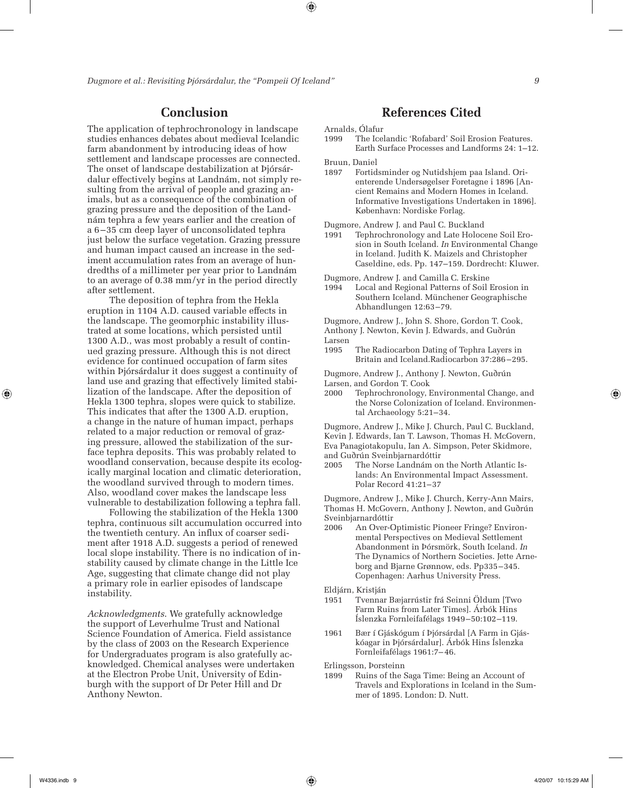# **Conclusion**

The application of tephrochronology in landscape studies enhances debates about medieval Icelandic farm abandonment by introducing ideas of how settlement and landscape processes are connected. The onset of landscape destabilization at Þjórsárdalur effectively begins at Landnám, not simply resulting from the arrival of people and grazing animals, but as a consequence of the combination of grazing pressure and the deposition of the Landnám tephra a few years earlier and the creation of a 6–35 cm deep layer of unconsolidated tephra just below the surface vegetation. Grazing pressure and human impact caused an increase in the sediment accumulation rates from an average of hundredths of a millimeter per year prior to Landnám to an average of 0.38 mm/yr in the period directly after settlement.

The deposition of tephra from the Hekla eruption in 1104 A.D. caused variable effects in the landscape. The geomorphic instability illustrated at some locations, which persisted until 1300 A.D., was most probably a result of continued grazing pressure. Although this is not direct evidence for continued occupation of farm sites within Þjórsárdalur it does suggest a continuity of land use and grazing that effectively limited stabilization of the landscape. After the deposition of Hekla 1300 tephra, slopes were quick to stabilize. This indicates that after the 1300 A.D. eruption, a change in the nature of human impact, perhaps related to a major reduction or removal of grazing pressure, allowed the stabilization of the surface tephra deposits. This was probably related to woodland conservation, because despite its ecologically marginal location and climatic deterioration, the woodland survived through to modern times. Also, woodland cover makes the landscape less vulnerable to destabilization following a tephra fall.

Following the stabilization of the Hekla 1300 tephra, continuous silt accumulation occurred into the twentieth century. An influx of coarser sediment after 1918 A.D. suggests a period of renewed local slope instability. There is no indication of instability caused by climate change in the Little Ice Age, suggesting that climate change did not play a primary role in earlier episodes of landscape instability.

*Acknowledgments*. We gratefully acknowledge the support of Leverhulme Trust and National Science Foundation of America. Field assistance by the class of 2003 on the Research Experience for Undergraduates program is also gratefully acknowledged. Chemical analyses were undertaken at the Electron Probe Unit, University of Edinburgh with the support of Dr Peter Hill and Dr Anthony Newton.

## **References Cited**

Arnalds, Ólafur

⊕

1999 The Icelandic 'Rofabard' Soil Erosion Features. Earth Surface Processes and Landforms 24: 1–12.

Bruun, Daniel

1897 Fortidsminder og Nutidshjem paa Island. Orienterende Undersøgelser Foretagne i 1896 [Ancient Remains and Modern Homes in Iceland. Informative Investigations Undertaken in 1896]. København: Nordiske Forlag.

Dugmore, Andrew J. and Paul C. Buckland

1991 Tephrochronology and Late Holocene Soil Erosion in South Iceland. *In* Environmental Change in Iceland. Judith K. Maizels and Christopher Caseldine, eds. Pp. 147–159. Dordrecht: Kluwer.

Dugmore, Andrew J. and Camilla C. Erskine

- 1994 Local and Regional Patterns of Soil Erosion in Southern Iceland. Münchener Geographische Abhandlungen 12:63–79.
- Dugmore, Andrew J., John S. Shore, Gordon T. Cook, Anthony J. Newton, Kevin J. Edwards, and Guðrún
- Larsen<br>1995 The Radiocarbon Dating of Tephra Layers in
- Britain and Iceland.Radiocarbon 37:286–295.
- Dugmore, Andrew J., Anthony J. Newton, Guðrún Larsen, and Gordon T. Cook
- 2000 Tephrochronology, Environmental Change, and the Norse Colonization of Iceland. Environmental Archaeology 5:21–34.

Dugmore, Andrew J., Mike J. Church, Paul C. Buckland, Kevin J. Edwards, Ian T. Lawson, Thomas H. McGovern, Eva Panagiotakopulu, Ian A. Simpson, Peter Skidmore, and Guðrún Sveinbjarnardóttir

2005 The Norse Landnám on the North Atlantic Islands: An Environmental Impact Assessment. Polar Record 41:21–37

Dugmore, Andrew J., Mike J. Church, Kerry-Ann Mairs, Thomas H. McGovern, Anthony J. Newton, and Guðrún Sveinbjarnardóttir

- 2006 An Over-Optimistic Pioneer Fringe? Environmental Perspectives on Medieval Settlement Abandonment in Þórsmörk, South Iceland. *In* The Dynamics of Northern Societies. Jette Arneborg and Bjarne Grønnow, eds. Pp335–345. Copenhagen: Aarhus University Press.
- Eldjárn, Kristján
- 1951 Tvennar Bæjarrústir frá Seinni Öldum [Two Farm Ruins from Later Times]. Árbók Hins Íslenzka Fornleifafélags 1949–50:102–119.
- 1961 Bær í Gjáskógum í Þjórsárdal [A Farm in Gjáskóagar in Þjórsárdalur]. Árbók Hins Íslenzka Fornleifafélags 1961:7– 46.

Erlingsson, Þorsteinn

1899 Ruins of the Saga Time: Being an Account of Travels and Explorations in Iceland in the Summer of 1895. London: D. Nutt.

⊕

W4336.indb 9  $4/20/07$  10:15:29 AM  $\langle$   $\leftrightarrow$   $4/20/07$  10:15:29 AM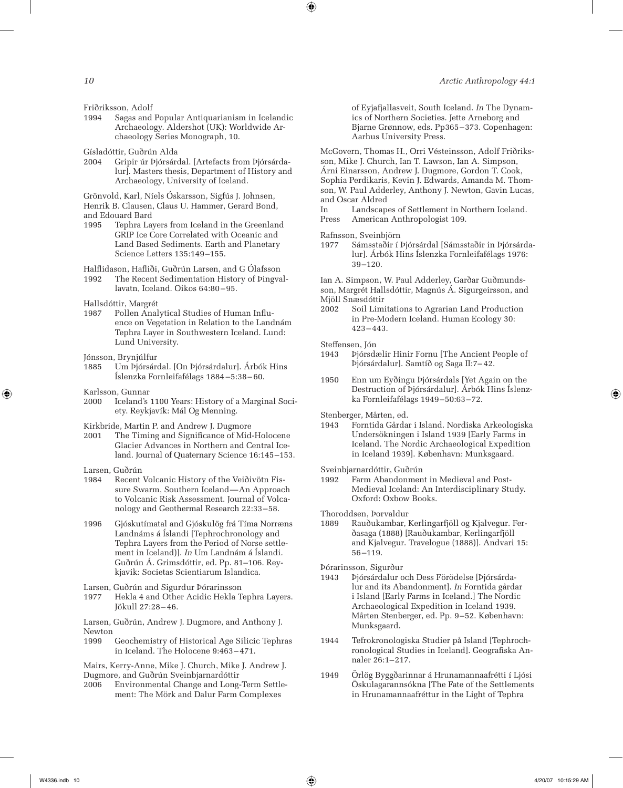#### *10 Arctic Anthropology 44:1*

Friðriksson, Adolf

1994 Sagas and Popular Antiquarianism in Icelandic Archaeology. Aldershot (UK): Worldwide Archaeology Series Monograph, 10.

Gísladóttir, Guðrún Alda

2004 Gripir úr Þjórsárdal. [Artefacts from Þjórsárdalur]. Masters thesis, Department of History and Archaeology, University of Iceland.

Grönvold, Karl, Níels Óskarsson, Sigfús J. Johnsen, Henrik B. Clausen, Claus U. Hammer, Gerard Bond, and Edouard Bard

1995 Tephra Layers from Iceland in the Greenland GRIP Ice Core Correlated with Oceanic and Land Based Sediments. Earth and Planetary Science Letters 135:149–155.

Halflidason, Hafliði, Guðrún Larsen, and G Ólafsson

1992 The Recent Sedimentation History of Þingvallavatn, Iceland. Oikos 64:80–95.

#### Hallsdóttir, Margrét

1987 Pollen Analytical Studies of Human Influence on Vegetation in Relation to the Landnám Tephra Layer in Southwestern Iceland. Lund: Lund University.

Jónsson, Brynjúlfur

1885 Um Þjórsárdal. [On Þjórsárdalur]. Árbók Hins Íslenzka Fornleifafélags 1884–5:38– 60.

Karlsson, Gunnar

⊕

2000 Iceland's 1100 Years: History of a Marginal Society. Reykjavík: Mál Og Menning.

Kirkbride, Martin P. and Andrew J. Dugmore

- 2001 The Timing and Significance of Mid-Holocene Glacier Advances in Northern and Central Iceland. Journal of Quaternary Science 16:145–153.
- Larsen, Guðrún
- 1984 Recent Volcanic History of the Veiðivötn Fissure Swarm, Southern Iceland—An Approach to Volcanic Risk Assessment. Journal of Volcanology and Geothermal Research 22:33–58.
- 1996 Gjóskutímatal and Gjóskulög frá Tíma Norræns Landnáms á Íslandi [Tephrochronology and Tephra Layers from the Period of Norse settlement in Iceland)]. *In* Um Landnám á Íslandi. Guðrún Á. Grimsdóttir, ed. Pp. 81–106. Reykjavik: Societas Scientiarum Islandica.

Larsen, Guðrún and Sigurdur Þórarinsson

1977 Hekla 4 and Other Acidic Hekla Tephra Layers. Jökull 27:28– 46.

Larsen, Guðrún, Andrew J. Dugmore, and Anthony J. Newton

1999 Geochemistry of Historical Age Silicic Tephras in Iceland. The Holocene 9:463– 471.

Mairs, Kerry-Anne, Mike J. Church, Mike J. Andrew J. Dugmore, and Guðrún Sveinbjarnardóttir

2006 Environmental Change and Long-Term Settlement: The Mörk and Dalur Farm Complexes

of Eyjafjallasveit, South Iceland. *In* The Dynamics of Northern Societies. Jette Arneborg and Bjarne Grønnow, eds. Pp365–373. Copenhagen: Aarhus University Press.

McGovern, Thomas H., Orri Vésteinsson, Adolf Friðriksson, Mike J. Church, Ian T. Lawson, Ian A. Simpson, Árni Einarsson, Andrew J. Dugmore, Gordon T. Cook, Sophia Perdikaris, Kevin J. Edwards, Amanda M. Thomson, W. Paul Adderley, Anthony J. Newton, Gavin Lucas, and Oscar Aldred

In Landscapes of Settlement in Northern Iceland.

Press American Anthropologist 109.

Rafnsson, Sveinbjörn

⊕

1977 Sámsstaðir í Þjórsárdal [Sámsstaðir in Þjórsárdalur]. Árbók Hins Íslenzka Fornleifafélags 1976: 39–120.

Ian A. Simpson, W. Paul Adderley, Garðar Guðmundsson, Margrét Hallsdóttir, Magnús Á. Sigurgeirsson, and Mjöll Snæsdóttir

2002 Soil Limitations to Agrarian Land Production in Pre-Modern Iceland. Human Ecology 30: 423– 443.

Steffensen, Jón

- 1943 Þjórsdælir Hinir Fornu [The Ancient People of Þjórsárdalur]. Samtíð og Saga II:7– 42.
- 1950 Enn um Eyðingu Þjórsárdals [Yet Again on the Destruction of Þjórsárdalur]. Árbók Hins Íslenzka Fornleifafélags 1949–50:63–72.

Stenberger, Mårten, ed.

1943 Forntida Gårdar i Island. Nordiska Arkeologiska Undersökningen i Island 1939 [Early Farms in Iceland. The Nordic Archaeological Expedition in Iceland 1939]. København: Munksgaard.

Sveinbjarnardóttir, Guðrún

1992 Farm Abandonment in Medieval and Post-Medieval Iceland: An Interdisciplinary Study. Oxford: Oxbow Books.

Thoroddsen, Þorvaldur

1889 Rauðukambar, Kerlingarfjöll og Kjalvegur. Ferðasaga (1888) [Rauðukambar, Kerlingarfjöll and Kjalvegur. Travelogue (1888)]. Andvari 15: 56–119.

Þórarinsson, Sigurður

- 1943 Þjórsárdalur och Dess Förödelse [Þjórsárdalur and its Abandonment]. *In* Forntida gårdar i Island [Early Farms in Iceland.] The Nordic Archaeological Expedition in Iceland 1939. Mårten Stenberger, ed. Pp. 9–52. København: Munksgaard.
- 1944 Tefrokronologiska Studier på Island [Tephrochronological Studies in Iceland]. Geografiska Annaler 26:1–217.
- 1949 Örlög Byggðarinnar á Hrunamannaafrétti í Ljósi Öskulagarannsókna [The Fate of the Settlements in Hrunamannaafréttur in the Light of Tephra